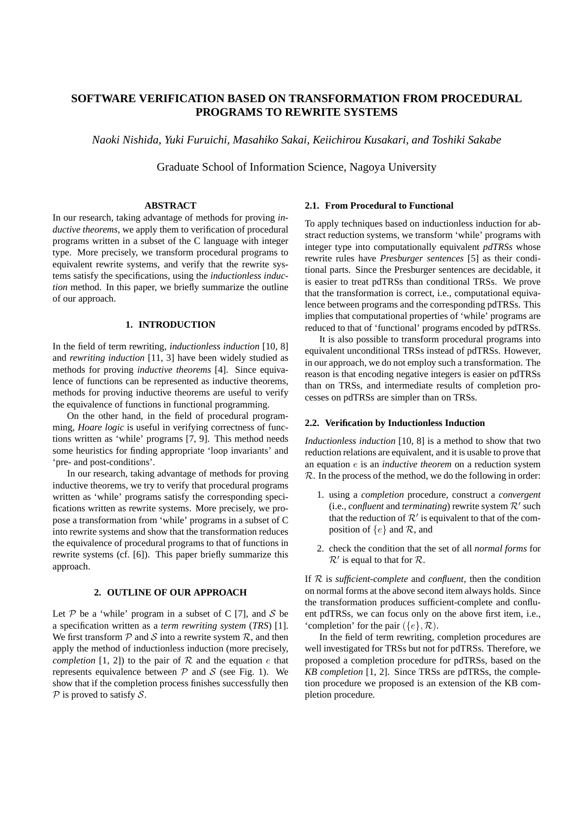# **SOFTWARE VERIFICATION BASED ON TRANSFORMATION FROM PROCEDURAL PROGRAMS TO REWRITE SYSTEMS**

*Naoki Nishida, Yuki Furuichi, Masahiko Sakai, Keiichirou Kusakari, and Toshiki Sakabe*

Graduate School of Information Science, Nagoya University

### **ABSTRACT**

In our research, taking advantage of methods for proving *inductive theorems*, we apply them to verification of procedural programs written in a subset of the C language with integer type. More precisely, we transform procedural programs to equivalent rewrite systems, and verify that the rewrite systems satisfy the specifications, using the *inductionless induction* method. In this paper, we briefly summarize the outline of our approach.

## **1. INTRODUCTION**

In the field of term rewriting, *inductionless induction* [10, 8] and *rewriting induction* [11, 3] have been widely studied as methods for proving *inductive theorems* [4]. Since equivalence of functions can be represented as inductive theorems, methods for proving inductive theorems are useful to verify the equivalence of functions in functional programming.

On the other hand, in the field of procedural programming, *Hoare logic* is useful in verifying correctness of functions written as 'while' programs [7, 9]. This method needs some heuristics for finding appropriate 'loop invariants' and 'pre- and post-conditions'.

In our research, taking advantage of methods for proving inductive theorems, we try to verify that procedural programs written as 'while' programs satisfy the corresponding specifications written as rewrite systems. More precisely, we propose a transformation from 'while' programs in a subset of C into rewrite systems and show that the transformation reduces the equivalence of procedural programs to that of functions in rewrite systems (cf. [6]). This paper briefly summarize this approach.

### **2. OUTLINE OF OUR APPROACH**

Let  $P$  be a 'while' program in a subset of C [7], and  $S$  be a specification written as a *term rewriting system* (*TRS*) [1]. We first transform  $P$  and  $S$  into a rewrite system  $R$ , and then apply the method of inductionless induction (more precisely, *completion* [1, 2]) to the pair of  $R$  and the equation  $e$  that represents equivalence between  $P$  and  $S$  (see Fig. 1). We show that if the completion process finishes successfully then *P* is proved to satisfy *S*.

### **2.1. From Procedural to Functional**

To apply techniques based on inductionless induction for abstract reduction systems, we transform 'while' programs with integer type into computationally equivalent *pdTRSs* whose rewrite rules have *Presburger sentences* [5] as their conditional parts. Since the Presburger sentences are decidable, it is easier to treat pdTRSs than conditional TRSs. We prove that the transformation is correct, i.e., computational equivalence between programs and the corresponding pdTRSs. This implies that computational properties of 'while' programs are reduced to that of 'functional' programs encoded by pdTRSs.

It is also possible to transform procedural programs into equivalent unconditional TRSs instead of pdTRSs. However, in our approach, we do not employ such a transformation. The reason is that encoding negative integers is easier on pdTRSs than on TRSs, and intermediate results of completion processes on pdTRSs are simpler than on TRSs.

#### **2.2. Verification by Inductionless Induction**

*Inductionless induction* [10, 8] is a method to show that two reduction relations are equivalent, and it is usable to prove that an equation *e* is an *inductive theorem* on a reduction system *R*. In the process of the method, we do the following in order:

- 1. using a *completion* procedure, construct a *convergent*  $(i.e., confluent and terminating)$  rewrite system  $\mathcal{R}'$  such that the reduction of  $\mathcal{R}'$  is equivalent to that of the composition of *{e}* and *R*, and
- 2. check the condition that the set of all *normal forms* for  $\mathcal{R}'$  is equal to that for  $\mathcal{R}$ .

If *R* is *sufficient-complete* and *confluent*, then the condition on normal forms at the above second item always holds. Since the transformation produces sufficient-complete and confluent pdTRSs, we can focus only on the above first item, i.e., 'completion' for the pair ( $\{e\}$ ,  $\mathcal{R}$ ).

In the field of term rewriting, completion procedures are well investigated for TRSs but not for pdTRSs. Therefore, we proposed a completion procedure for pdTRSs, based on the *KB completion* [1, 2]. Since TRSs are pdTRSs, the completion procedure we proposed is an extension of the KB completion procedure.